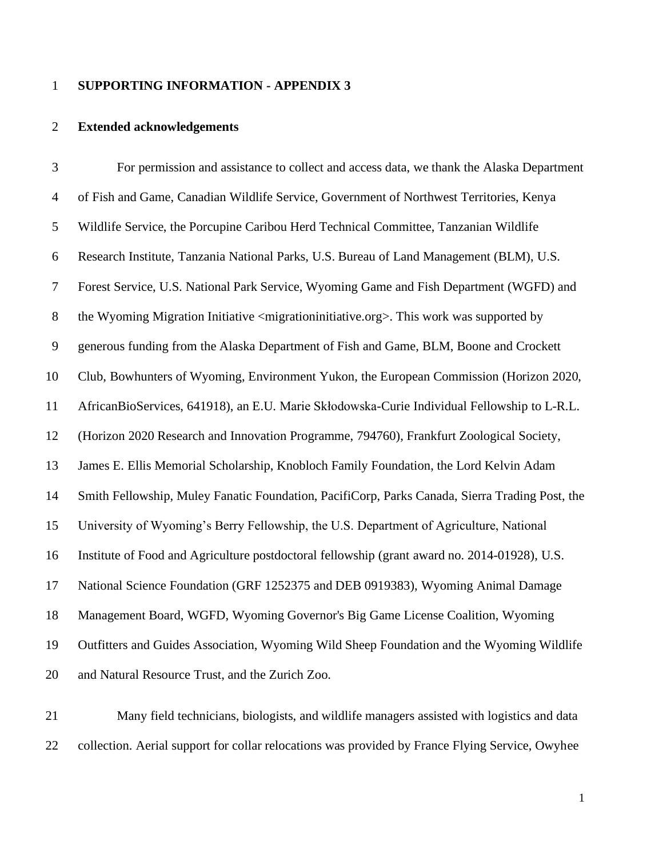## **SUPPORTING INFORMATION - APPENDIX 3**

## **Extended acknowledgements**

 For permission and assistance to collect and access data, we thank the Alaska Department of Fish and Game, Canadian Wildlife Service, Government of Northwest Territories, Kenya Wildlife Service, the Porcupine Caribou Herd Technical Committee, Tanzanian Wildlife Research Institute, Tanzania National Parks, U.S. Bureau of Land Management (BLM), U.S. Forest Service, U.S. National Park Service, Wyoming Game and Fish Department (WGFD) and the Wyoming Migration Initiative <migrationinitiative.org>. This work was supported by generous funding from the Alaska Department of Fish and Game, BLM, Boone and Crockett Club, Bowhunters of Wyoming, Environment Yukon, the European Commission (Horizon 2020, AfricanBioServices, 641918), an E.U. Marie Skłodowska-Curie Individual Fellowship to L-R.L. (Horizon 2020 Research and Innovation Programme, 794760), Frankfurt Zoological Society, James E. Ellis Memorial Scholarship, Knobloch Family Foundation, the Lord Kelvin Adam Smith Fellowship, Muley Fanatic Foundation, PacifiCorp, Parks Canada, Sierra Trading Post, the University of Wyoming's Berry Fellowship, the U.S. Department of Agriculture, National Institute of Food and Agriculture postdoctoral fellowship (grant award no. 2014-01928), U.S. National Science Foundation (GRF 1252375 and DEB 0919383), Wyoming Animal Damage Management Board, WGFD, Wyoming Governor's Big Game License Coalition, Wyoming Outfitters and Guides Association, Wyoming Wild Sheep Foundation and the Wyoming Wildlife and Natural Resource Trust, and the Zurich Zoo.

 Many field technicians, biologists, and wildlife managers assisted with logistics and data collection. Aerial support for collar relocations was provided by France Flying Service, Owyhee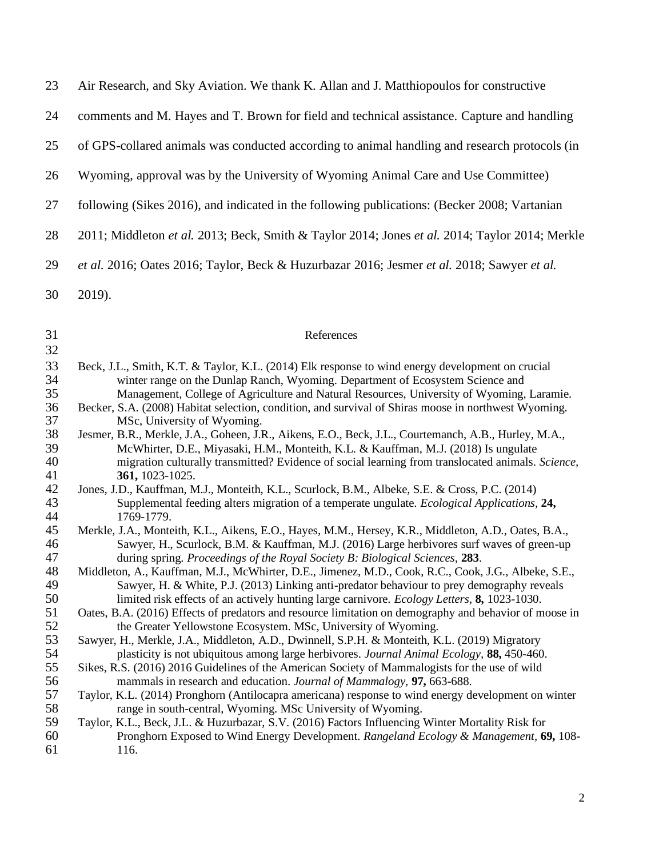| 23 | Air Research, and Sky Aviation. We thank K. Allan and J. Matthiopoulos for constructive        |
|----|------------------------------------------------------------------------------------------------|
| 24 | comments and M. Hayes and T. Brown for field and technical assistance. Capture and handling    |
| 25 | of GPS-collared animals was conducted according to animal handling and research protocols (in  |
| 26 | Wyoming, approval was by the University of Wyoming Animal Care and Use Committee)              |
| 27 | following (Sikes 2016), and indicated in the following publications: (Becker 2008; Vartanian   |
| 28 | 2011; Middleton et al. 2013; Beck, Smith & Taylor 2014; Jones et al. 2014; Taylor 2014; Merkle |
| 29 | et al. 2016; Oates 2016; Taylor, Beck & Huzurbazar 2016; Jesmer et al. 2018; Sawyer et al.     |
| 30 | 2019).                                                                                         |

## References

<span id="page-1-10"></span><span id="page-1-9"></span><span id="page-1-8"></span><span id="page-1-7"></span><span id="page-1-6"></span><span id="page-1-5"></span><span id="page-1-4"></span><span id="page-1-3"></span><span id="page-1-2"></span><span id="page-1-1"></span><span id="page-1-0"></span>

| 32 |                                                                                                        |
|----|--------------------------------------------------------------------------------------------------------|
| 33 | Beck, J.L., Smith, K.T. & Taylor, K.L. (2014) Elk response to wind energy development on crucial       |
| 34 | winter range on the Dunlap Ranch, Wyoming. Department of Ecosystem Science and                         |
| 35 | Management, College of Agriculture and Natural Resources, University of Wyoming, Laramie.              |
| 36 | Becker, S.A. (2008) Habitat selection, condition, and survival of Shiras moose in northwest Wyoming.   |
| 37 | MSc, University of Wyoming.                                                                            |
| 38 | Jesmer, B.R., Merkle, J.A., Goheen, J.R., Aikens, E.O., Beck, J.L., Courtemanch, A.B., Hurley, M.A.,   |
| 39 | McWhirter, D.E., Miyasaki, H.M., Monteith, K.L. & Kauffman, M.J. (2018) Is ungulate                    |
| 40 | migration culturally transmitted? Evidence of social learning from translocated animals. Science,      |
| 41 | 361, 1023-1025.                                                                                        |
| 42 | Jones, J.D., Kauffman, M.J., Monteith, K.L., Scurlock, B.M., Albeke, S.E. & Cross, P.C. (2014)         |
| 43 | Supplemental feeding alters migration of a temperate ungulate. <i>Ecological Applications</i> , 24,    |
| 44 | 1769-1779.                                                                                             |
| 45 | Merkle, J.A., Monteith, K.L., Aikens, E.O., Hayes, M.M., Hersey, K.R., Middleton, A.D., Oates, B.A.,   |
| 46 | Sawyer, H., Scurlock, B.M. & Kauffman, M.J. (2016) Large herbivores surf waves of green-up             |
| 47 | during spring. Proceedings of the Royal Society B: Biological Sciences, 283.                           |
| 48 | Middleton, A., Kauffman, M.J., McWhirter, D.E., Jimenez, M.D., Cook, R.C., Cook, J.G., Albeke, S.E.,   |
| 49 | Sawyer, H. & White, P.J. (2013) Linking anti-predator behaviour to prey demography reveals             |
| 50 | limited risk effects of an actively hunting large carnivore. Ecology Letters, 8, 1023-1030.            |
| 51 | Oates, B.A. (2016) Effects of predators and resource limitation on demography and behavior of moose in |
| 52 | the Greater Yellowstone Ecosystem. MSc, University of Wyoming.                                         |
| 53 | Sawyer, H., Merkle, J.A., Middleton, A.D., Dwinnell, S.P.H. & Monteith, K.L. (2019) Migratory          |
| 54 | plasticity is not ubiquitous among large herbivores. Journal Animal Ecology, 88, 450-460.              |
| 55 | Sikes, R.S. (2016) 2016 Guidelines of the American Society of Mammalogists for the use of wild         |
| 56 | mammals in research and education. Journal of Mammalogy, 97, 663-688.                                  |
| 57 | Taylor, K.L. (2014) Pronghorn (Antilocapra americana) response to wind energy development on winter    |
| 58 | range in south-central, Wyoming. MSc University of Wyoming.                                            |
| 59 | Taylor, K.L., Beck, J.L. & Huzurbazar, S.V. (2016) Factors Influencing Winter Mortality Risk for       |
| 60 | Pronghorn Exposed to Wind Energy Development. Rangeland Ecology & Management, 69, 108-                 |
| 61 | 116.                                                                                                   |